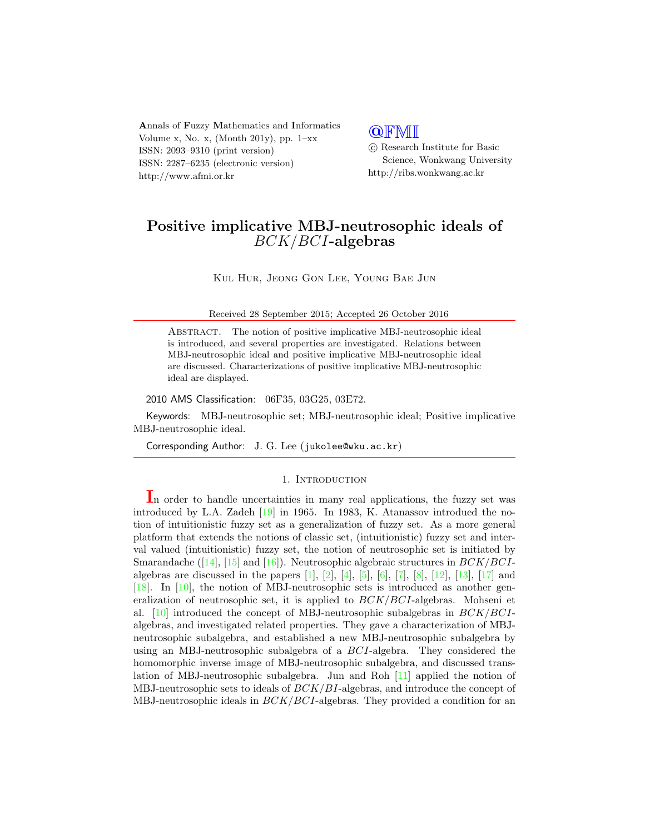Annals of Fuzzy Mathematics and Informatics Volume x, No. x, (Month 201y), pp.  $1-xx$ ISSN: 2093–9310 (print version) ISSN: 2287–6235 (electronic version) http://www.afmi.or.kr

### **QFMI**

 c Research Institute for Basic Science, Wonkwang University http://ribs.wonkwang.ac.kr

# Positive implicative MBJ-neutrosophic ideals of BCK/BCI-algebras

Kul Hur, Jeong Gon Lee, Young Bae Jun

Received 28 September 2015; Accepted 26 October 2016

Abstract. The notion of positive implicative MBJ-neutrosophic ideal is introduced, and several properties are investigated. Relations between MBJ-neutrosophic ideal and positive implicative MBJ-neutrosophic ideal are discussed. Characterizations of positive implicative MBJ-neutrosophic ideal are displayed.

#### 2010 AMS Classification: 06F35, 03G25, 03E72.

Keywords: MBJ-neutrosophic set; MBJ-neutrosophic ideal; Positive implicative MBJ-neutrosophic ideal.

Corresponding Author: J. G. Lee (jukolee@wku.ac.kr)

#### 1. INTRODUCTION

In order to handle uncertainties in many real applications, the fuzzy set was introduced by L.A. Zadeh [\[19\]](#page-12-0) in 1965. In 1983, K. Atanassov introdued the notion of intuitionistic fuzzy set as a generalization of fuzzy set. As a more general platform that extends the notions of classic set, (intuitionistic) fuzzy set and interval valued (intuitionistic) fuzzy set, the notion of neutrosophic set is initiated by Smarandache ([\[14\]](#page-12-1), [\[15\]](#page-12-2) and [\[16\]](#page-12-3)). Neutrosophic algebraic structures in  $BCK/BCI$ algebras are discussed in the papers  $[1]$ ,  $[2]$ ,  $[4]$ ,  $[5]$ ,  $[6]$ ,  $[7]$ ,  $[8]$ ,  $[12]$ ,  $[13]$ ,  $[17]$  and [\[18\]](#page-12-14). In [\[10\]](#page-12-15), the notion of MBJ-neutrosophic sets is introduced as another generalization of neutrosophic set, it is applied to  $BCK/BCI$ -algebras. Mohseni et al.  $[10]$  introduced the concept of MBJ-neutrosophic subalgebras in  $BCK/BCI$ algebras, and investigated related properties. They gave a characterization of MBJneutrosophic subalgebra, and established a new MBJ-neutrosophic subalgebra by using an MBJ-neutrosophic subalgebra of a BCI-algebra. They considered the homomorphic inverse image of MBJ-neutrosophic subalgebra, and discussed translation of MBJ-neutrosophic subalgebra. Jun and Roh [\[11\]](#page-12-16) applied the notion of MBJ-neutrosophic sets to ideals of  $BCK/BI$ -algebras, and introduce the concept of MBJ-neutrosophic ideals in  $BCK/BCI$ -algebras. They provided a condition for an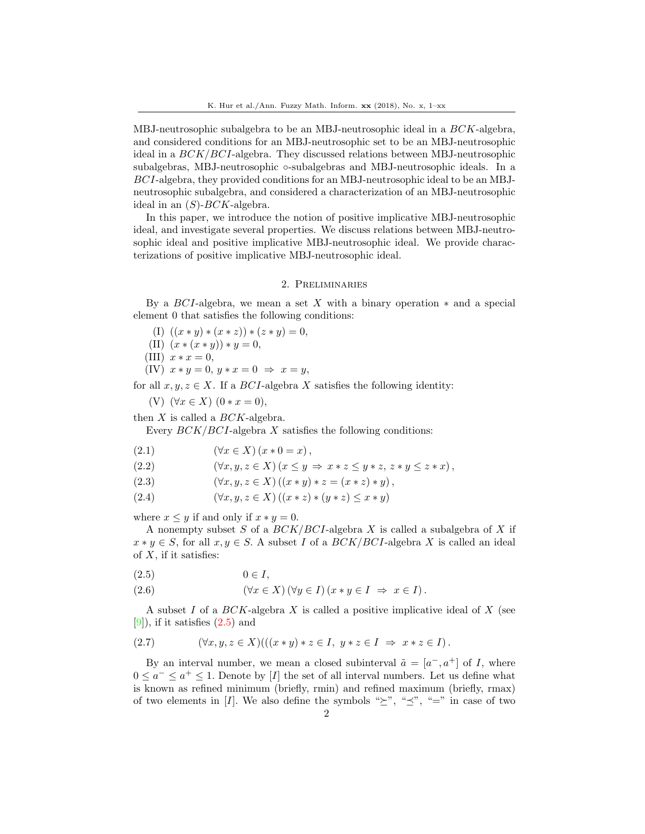MBJ-neutrosophic subalgebra to be an MBJ-neutrosophic ideal in a BCK-algebra, and considered conditions for an MBJ-neutrosophic set to be an MBJ-neutrosophic ideal in a BCK/BCI-algebra. They discussed relations between MBJ-neutrosophic subalgebras, MBJ-neutrosophic ∘-subalgebras and MBJ-neutrosophic ideals. In a BCI-algebra, they provided conditions for an MBJ-neutrosophic ideal to be an MBJneutrosophic subalgebra, and considered a characterization of an MBJ-neutrosophic ideal in an  $(S)$ -BCK-algebra.

In this paper, we introduce the notion of positive implicative MBJ-neutrosophic ideal, and investigate several properties. We discuss relations between MBJ-neutrosophic ideal and positive implicative MBJ-neutrosophic ideal. We provide characterizations of positive implicative MBJ-neutrosophic ideal.

#### 2. Preliminaries

By a  $BCI$ -algebra, we mean a set X with a binary operation  $*$  and a special element 0 that satisfies the following conditions:

- (I)  $((x * y) * (x * z)) * (z * y) = 0,$
- (II)  $(x * (x * y)) * y = 0,$
- (III)  $x * x = 0$ ,
- (IV)  $x * y = 0, y * x = 0 \Rightarrow x = y,$

for all  $x, y, z \in X$ . If a *BCI*-algebra X satisfies the following identity:

(V)  $(\forall x \in X)$   $(0 * x = 0),$ 

then  $X$  is called a  $BCK$ -algebra.

<span id="page-1-1"></span>Every  $BCK/BCI$ -algebra X satisfies the following conditions:

(2.1)  $(\forall x \in X) (x * 0 = x),$ 

(2.2) 
$$
(\forall x, y, z \in X) (x \le y \Rightarrow x * z \le y * z, z * y \le z * x),
$$

- (2.3)  $(\forall x, y, z \in X) ((x * y) * z = (x * z) * y),$
- (2.4)  $(\forall x, y, z \in X) ((x * z) * (y * z) \le x * y)$

where  $x \leq y$  if and only if  $x * y = 0$ .

A nonempty subset S of a  $BCK/BCI$ -algebra X is called a subalgebra of X if  $x * y \in S$ , for all  $x, y \in S$ . A subset I of a  $BCK/BCI$ -algebra X is called an ideal of  $X$ , if it satisfies:

<span id="page-1-0"></span>
$$
(2.5) \t\t 0 \in I,
$$

(2.6) 
$$
(\forall x \in X) (\forall y \in I) (x * y \in I \Rightarrow x \in I).
$$

A subset I of a  $BCK$ -algebra X is called a positive implicative ideal of X (see  $[9]$ , if it satisfies  $(2.5)$  and

$$
(2.7) \qquad (\forall x, y, z \in X) (((x * y) * z \in I, y * z \in I \Rightarrow x * z \in I).
$$

By an interval number, we mean a closed subinterval  $\tilde{a} = [a^-, a^+]$  of I, where  $0 \leq a^- \leq a^+ \leq 1$ . Denote by [I] the set of all interval numbers. Let us define what is known as refined minimum (briefly, rmin) and refined maximum (briefly, rmax) of two elements in [I]. We also define the symbols " $\succeq$ ", " $\preceq$ ", "=" in case of two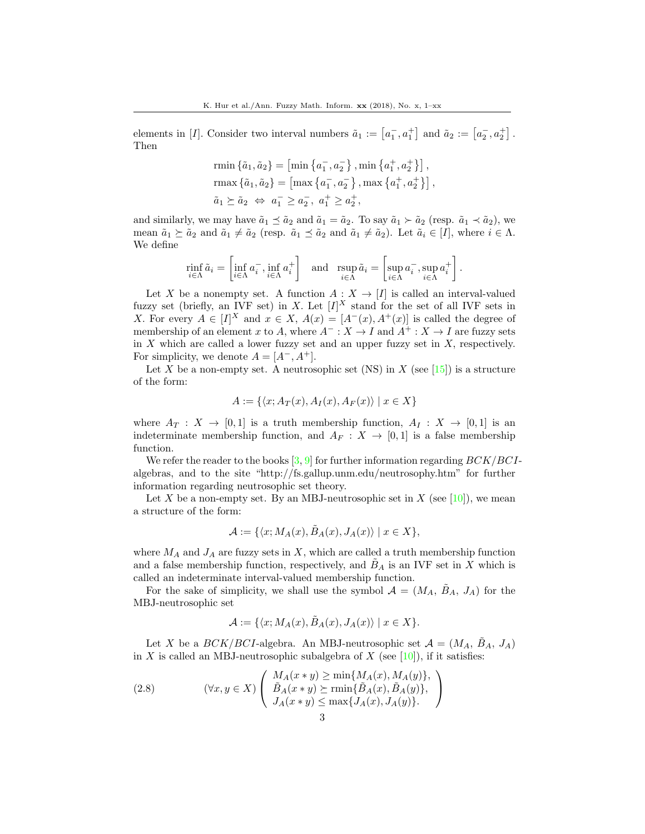elements in [I]. Consider two interval numbers  $\tilde{a}_1 := \left[a_1, a_1^+\right]$  and  $\tilde{a}_2 := \left[a_2, a_2^+\right]$ . Then

rmin 
$$
\{\tilde{a}_1, \tilde{a}_2\} = \left[\min \{a_1^-, a_2^-\}, \min \{a_1^+, a_2^+\}\right],
$$
  
\nrmax  $\{\tilde{a}_1, \tilde{a}_2\} = \left[\max \{a_1^-, a_2^-\}, \max \{a_1^+, a_2^+\}\right],$   
\n $\tilde{a}_1 \succeq \tilde{a}_2 \Leftrightarrow a_1^- \ge a_2^-, a_1^+ \ge a_2^+,$ 

and similarly, we may have  $\tilde{a}_1 \preceq \tilde{a}_2$  and  $\tilde{a}_1 = \tilde{a}_2$ . To say  $\tilde{a}_1 \succ \tilde{a}_2$  (resp.  $\tilde{a}_1 \prec \tilde{a}_2$ ), we mean  $\tilde{a}_1 \succeq \tilde{a}_2$  and  $\tilde{a}_1 \neq \tilde{a}_2$  (resp.  $\tilde{a}_1 \preceq \tilde{a}_2$  and  $\tilde{a}_1 \neq \tilde{a}_2$ ). Let  $\tilde{a}_i \in [I]$ , where  $i \in \Lambda$ . We define

$$
\min_{i \in \Lambda} \tilde{a}_i = \left[ \inf_{i \in \Lambda} a_i^-, \inf_{i \in \Lambda} a_i^+ \right] \quad \text{and} \quad \operatorname{rsup}_{i \in \Lambda} \tilde{a}_i = \left[ \sup_{i \in \Lambda} a_i^-, \sup_{i \in \Lambda} a_i^+ \right].
$$

Let X be a nonempty set. A function  $A: X \to [I]$  is called an interval-valued fuzzy set (briefly, an IVF set) in X. Let  $[I]^X$  stand for the set of all IVF sets in X. For every  $A \in [I]^X$  and  $x \in X$ ,  $A(x) = [A^-(x), A^+(x)]$  is called the degree of membership of an element x to A, where  $A^- : X \to I$  and  $A^+ : X \to I$  are fuzzy sets in  $X$  which are called a lower fuzzy set and an upper fuzzy set in  $X$ , respectively. For simplicity, we denote  $A = [A^-, A^+]$ .

Let X be a non-empty set. A neutrosophic set (NS) in X (see [\[15\]](#page-12-2)) is a structure of the form:

$$
A := \{ \langle x; A_T(x), A_I(x), A_F(x) \rangle \mid x \in X \}
$$

where  $A_T : X \to [0,1]$  is a truth membership function,  $A_I : X \to [0,1]$  is an indeterminate membership function, and  $A_F : X \to [0,1]$  is a false membership function.

We refer the reader to the books  $[3, 9]$  $[3, 9]$  $[3, 9]$  for further information regarding  $BCK/BCI$ algebras, and to the site "http://fs.gallup.unm.edu/neutrosophy.htm" for further information regarding neutrosophic set theory.

Let X be a non-empty set. By an MBJ-neutrosophic set in X (see [\[10\]](#page-12-15)), we mean a structure of the form:

$$
\mathcal{A} := \{ \langle x; M_A(x), \tilde{B}_A(x), J_A(x) \rangle \mid x \in X \},\
$$

where  $M_A$  and  $J_A$  are fuzzy sets in X, which are called a truth membership function and a false membership function, respectively, and  $B_A$  is an IVF set in X which is called an indeterminate interval-valued membership function.

For the sake of simplicity, we shall use the symbol  $\mathcal{A} = (M_A, B_A, J_A)$  for the MBJ-neutrosophic set

$$
\mathcal{A} := \{ \langle x; M_A(x), \tilde{B}_A(x), J_A(x) \rangle \mid x \in X \}.
$$

Let X be a  $BCK/BCI$ -algebra. An MBJ-neutrosophic set  $\mathcal{A} = (M_A, \tilde{B}_A, J_A)$ in X is called an MBJ-neutrosophic subalgebra of X (see [\[10\]](#page-12-15)), if it satisfies:

(2.8) 
$$
(\forall x, y \in X) \left( \begin{array}{c} M_A(x * y) \ge \min\{M_A(x), M_A(y)\}, \\ \tilde{B}_A(x * y) \ge \min\{\tilde{B}_A(x), \tilde{B}_A(y)\}, \\ J_A(x * y) \le \max\{J_A(x), J_A(y)\}. \end{array} \right)
$$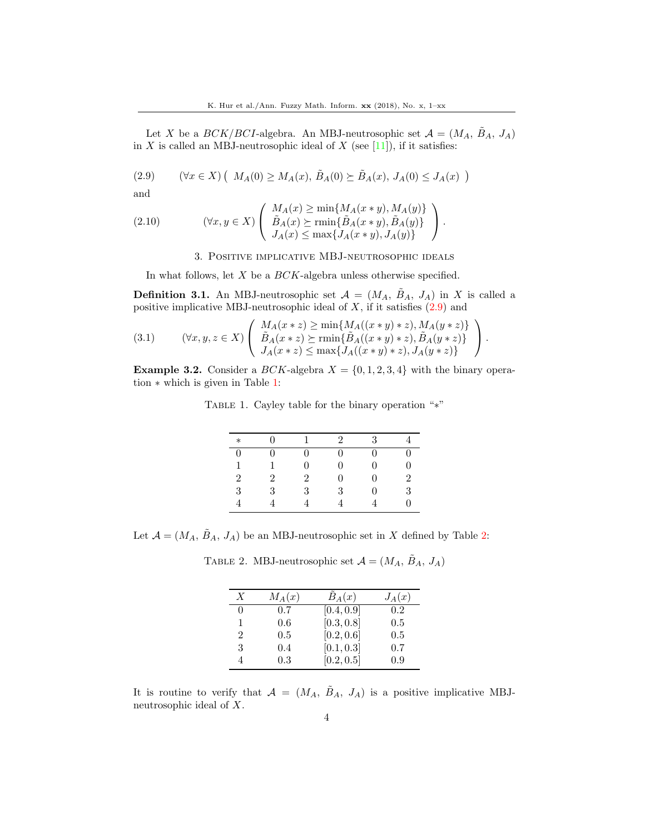Let X be a  $BCK/BCI$ -algebra. An MBJ-neutrosophic set  $\mathcal{A} = (M_A, \tilde{B}_A, J_A)$ in X is called an MBJ-neutrosophic ideal of X (see [\[11\]](#page-12-16)), if it satisfies:

<span id="page-3-0"></span>(2.9) 
$$
(\forall x \in X) (M_A(0) \ge M_A(x), \tilde{B}_A(0) \ge \tilde{B}_A(x), J_A(0) \le J_A(x))
$$

and

<span id="page-3-4"></span>(2.10) 
$$
(\forall x, y \in X) \left( \begin{array}{c} M_A(x) \ge \min\{M_A(x * y), M_A(y)\} \\ \tilde{B}_A(x) \ge \min\{\tilde{B}_A(x * y), \tilde{B}_A(y)\} \\ J_A(x) \le \max\{J_A(x * y), J_A(y)\} \end{array} \right).
$$

3. Positive implicative MBJ-neutrosophic ideals

In what follows, let  $X$  be a  $BCK$ -algebra unless otherwise specified.

**Definition 3.1.** An MBJ-neutrosophic set  $A = (M_A, \tilde{B}_A, J_A)$  in X is called a positive implicative MBJ-neutrosophic ideal of  $X$ , if it satisfies  $(2.9)$  and

<span id="page-3-3"></span>
$$
(3.1) \qquad (\forall x, y, z \in X) \left( \begin{array}{c} M_A(x * z) \ge \min\{M_A((x * y) * z), M_A(y * z)\} \\ \tilde{B}_A(x * z) \ge \min\{\tilde{B}_A((x * y) * z), \tilde{B}_A(y * z)\} \\ J_A(x * z) \le \max\{J_A((x * y) * z), J_A(y * z)\} \end{array} \right).
$$

**Example 3.2.** Consider a *BCK*-algebra  $X = \{0, 1, 2, 3, 4\}$  with the binary operation ∗ which is given in Table [1:](#page-3-1)

TABLE 1. Cayley table for the binary operation "\*"

<span id="page-3-1"></span>

| $\ast$         |                |                | $\mathcal{D}_{\mathcal{L}}$ | 3        |                |
|----------------|----------------|----------------|-----------------------------|----------|----------------|
| $\theta$       | 0              | 0              | 0                           | $\theta$ |                |
| 1              |                | 0              | U                           | 0        | ⋂              |
| $\overline{2}$ | $\overline{2}$ | $\overline{2}$ | $\Omega$                    | 0        | $\mathfrak{D}$ |
| $\sqrt{3}$     | 3              | 3              | 3                           | 0        | 3              |
|                |                |                |                             |          |                |

Let  $\mathcal{A} = (M_A, \tilde{B}_A, J_A)$  be an MBJ-neutrosophic set in X defined by Table [2:](#page-3-2)

TABLE 2. MBJ-neutrosophic set  $\mathcal{A} = (M_A, \tilde{B}_A, J_A)$ 

<span id="page-3-2"></span>

| X             | $M_A(x)$ | $B_A(x)$   | $J_A(x)$ |
|---------------|----------|------------|----------|
| $\theta$      | 0.7      | [0.4, 0.9] | 0.2      |
| 1             | 0.6      | [0.3, 0.8] | 0.5      |
| $\mathcal{D}$ | 0.5      | [0.2, 0.6] | 0.5      |
| 3             | 0.4      | [0.1, 0.3] | 0.7      |
|               | 0.3      | [0.2, 0.5] | 0.9      |

It is routine to verify that  $A = (M_A, \tilde{B}_A, J_A)$  is a positive implicative MBJneutrosophic ideal of X.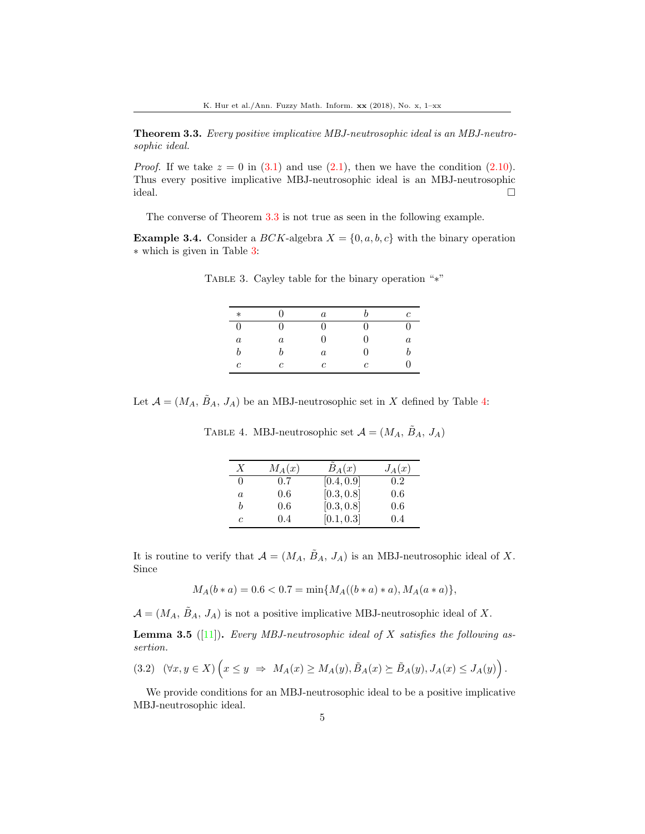<span id="page-4-0"></span>Theorem 3.3. Every positive implicative MBJ-neutrosophic ideal is an MBJ-neutrosophic ideal.

*Proof.* If we take  $z = 0$  in [\(3.1\)](#page-3-3) and use [\(2.1\)](#page-1-1), then we have the condition [\(2.10\)](#page-3-4). Thus every positive implicative MBJ-neutrosophic ideal is an MBJ-neutrosophic ideal.

The converse of Theorem [3.3](#page-4-0) is not true as seen in the following example.

**Example 3.4.** Consider a  $BCK$ -algebra  $X = \{0, a, b, c\}$  with the binary operation ∗ which is given in Table [3:](#page-4-1)

<span id="page-4-1"></span>

| $\ast$           | 0                | $\boldsymbol{a}$ |   | с        |
|------------------|------------------|------------------|---|----------|
| $\overline{0}$   | $\Omega$         | 0                | 0 | $^{(1)}$ |
| $\boldsymbol{a}$ | $\boldsymbol{a}$ | 0                | 0 | $\it a$  |
| $\boldsymbol{b}$ | h                | $\it a$          | 0 |          |
| $\mathfrak c$    | C                | $\mathfrak c$    | c | .,       |

TABLE 3. Cayley table for the binary operation "∗"

Let  $\mathcal{A} = (M_A, \tilde{B}_A, J_A)$  be an MBJ-neutrosophic set in X defined by Table [4:](#page-4-2)

<span id="page-4-2"></span>

| $\boldsymbol{X}$ | $M_A(x)$      | $\tilde{B}_A(x)$ | $J_A(x)$ |
|------------------|---------------|------------------|----------|
| $\theta$         | $0.7^{\circ}$ | [0.4, 0.9]       | 0.2      |
| a                | 0.6           | [0.3, 0.8]       | 0.6      |
| h                | 0.6           | [0.3, 0.8]       | 0.6      |
| c                | 0.4           | [0.1, 0.3]       | 0.4      |

TABLE 4. MBJ-neutrosophic set  $\mathcal{A} = (M_A, \tilde{B}_A, J_A)$ 

It is routine to verify that  $\mathcal{A} = (M_A, \tilde{B}_A, J_A)$  is an MBJ-neutrosophic ideal of X. Since

 $M_A(b*a) = 0.6 < 0.7 = \min\{M_A((b*a)*a), M_A(a*a)\},\$ 

 $\mathcal{A} = (M_A, \tilde{B}_A, J_A)$  is not a positive implicative MBJ-neutrosophic ideal of X.

<span id="page-4-3"></span>**Lemma 3.5** ([\[11\]](#page-12-16)). Every MBJ-neutrosophic ideal of X satisfies the following assertion.

$$
(3.2) \quad (\forall x, y \in X) \left( x \le y \ \Rightarrow \ M_A(x) \ge M_A(y), \tilde{B}_A(x) \succeq \tilde{B}_A(y), J_A(x) \le J_A(y) \right).
$$

We provide conditions for an MBJ-neutrosophic ideal to be a positive implicative MBJ-neutrosophic ideal.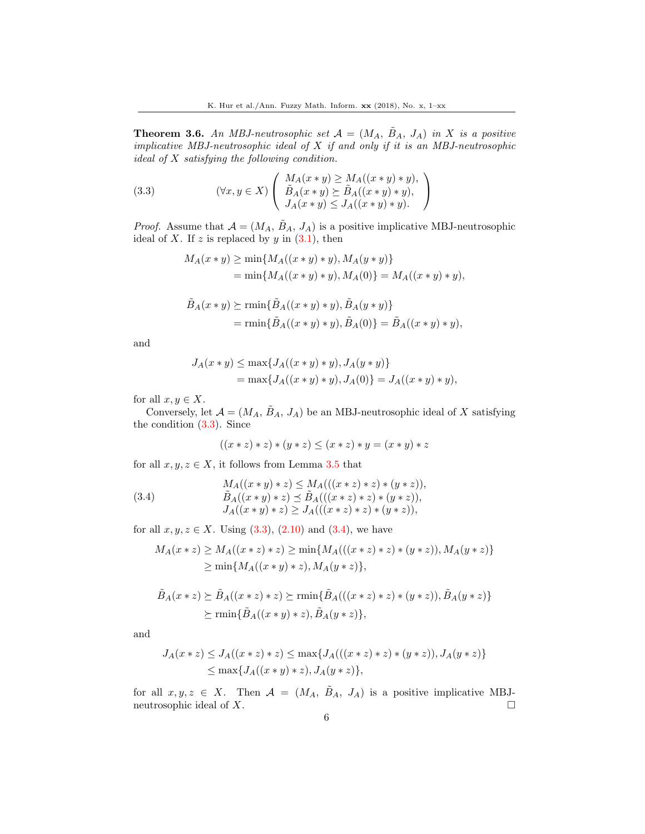<span id="page-5-2"></span>**Theorem 3.6.** An MBJ-neutrosophic set  $A = (M_A, \tilde{B}_A, J_A)$  in X is a positive implicative MBJ-neutrosophic ideal of  $X$  if and only if it is an MBJ-neutrosophic *ideal of*  $X$  *satisfying the following condition.* 

<span id="page-5-0"></span>(3.3) 
$$
(\forall x, y \in X) \left( \begin{array}{c} M_A(x * y) \geq M_A((x * y) * y), \\ \tilde{B}_A(x * y) \succeq \tilde{B}_A((x * y) * y), \\ J_A(x * y) \leq J_A((x * y) * y). \end{array} \right)
$$

*Proof.* Assume that  $A = (M_A, \tilde{B}_A, J_A)$  is a positive implicative MBJ-neutrosophic ideal of X. If z is replaced by y in  $(3.1)$ , then

$$
M_A(x * y) \ge \min\{M_A((x * y) * y), M_A(y * y)\}
$$
  
=  $\min\{M_A((x * y) * y), M_A(0)\} = M_A((x * y) * y),$ 

$$
\tilde{B}_A(x * y) \succeq \min\{\tilde{B}_A((x * y) * y), \tilde{B}_A(y * y)\}
$$
\n
$$
= \min\{\tilde{B}_A((x * y) * y), \tilde{B}_A(0)\} = \tilde{B}_A((x * y) * y),
$$

and

$$
J_A(x * y) \le \max\{J_A((x * y) * y), J_A(y * y)\}
$$
  
=  $\max\{J_A((x * y) * y), J_A(0)\} = J_A((x * y) * y),$ 

for all  $x, y \in X$ .

Conversely, let  $\mathcal{A} = (M_A, \tilde{B}_A, J_A)$  be an MBJ-neutrosophic ideal of X satisfying the condition [\(3.3\)](#page-5-0). Since

$$
((x * z) * z) * (y * z) \leq (x * z) * y = (x * y) * z
$$

for all  $x, y, z \in X$ , it follows from Lemma [3.5](#page-4-3) that

<span id="page-5-1"></span>(3.4) 
$$
M_A((x * y) * z) \le M_A(((x * z) * z) * (y * z)),
$$

$$
\tilde{B}_A((x * y) * z) \le \tilde{B}_A(((x * z) * z) * (y * z)),
$$

$$
J_A((x * y) * z) \ge J_A(((x * z) * z) * (y * z)),
$$

for all  $x, y, z \in X$ . Using  $(3.3), (2.10)$  $(3.3), (2.10)$  $(3.3), (2.10)$  and  $(3.4)$ , we have

$$
M_A(x * z) \ge M_A((x * z) * z) \ge \min\{M_A(((x * z) * z) * (y * z)), M_A(y * z)\}\
$$
  
 
$$
\ge \min\{M_A((x * y) * z), M_A(y * z)\},
$$

$$
\tilde{B}_A(x * z) \succeq \tilde{B}_A((x * z) * z) \succeq \min\{\tilde{B}_A(((x * z) * z) * (y * z)), \tilde{B}_A(y * z)\}\
$$
  

$$
\succeq \min\{\tilde{B}_A((x * y) * z), \tilde{B}_A(y * z)\},
$$

and

$$
J_A(x * z) \leq J_A((x * z) * z) \leq \max\{J_A(((x * z) * z) * (y * z)), J_A(y * z)\}\
$$
  

$$
\leq \max\{J_A((x * y) * z), J_A(y * z)\},
$$

for all  $x, y, z \in X$ . Then  $\mathcal{A} = (M_A, \tilde{B}_A, J_A)$  is a positive implicative MBJneutrosophic ideal of  $X$ .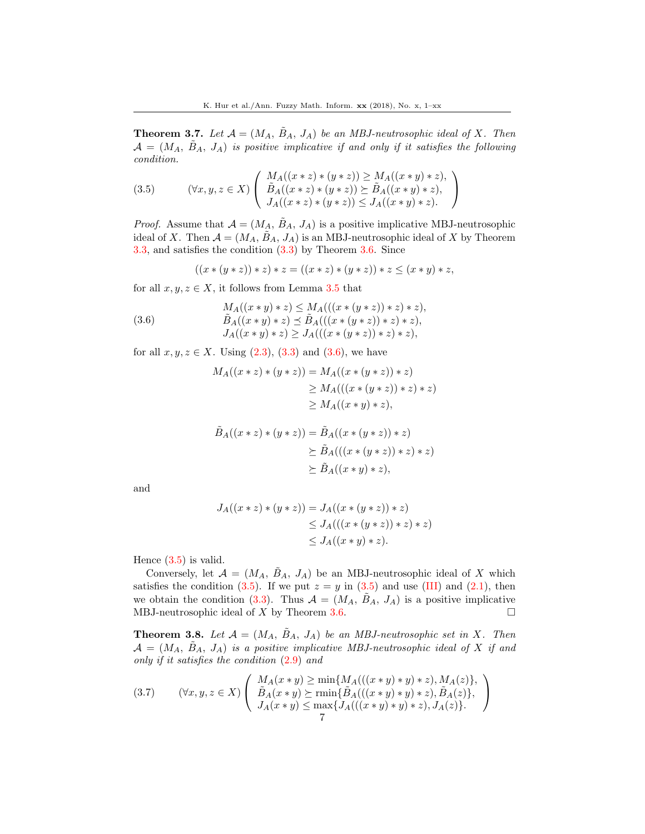<span id="page-6-3"></span>**Theorem 3.7.** Let  $\mathcal{A} = (M_A, \tilde{B}_A, J_A)$  be an MBJ-neutrosophic ideal of X. Then  $A = (M_A, B_A, J_A)$  is positive implicative if and only if it satisfies the following condition.

<span id="page-6-1"></span>(3.5) 
$$
(\forall x, y, z \in X) \left( \begin{array}{c} M_A((x * z) * (y * z)) \ge M_A((x * y) * z), \\ \tilde{B}_A((x * z) * (y * z)) \succeq \tilde{B}_A((x * y) * z), \\ J_A((x * z) * (y * z)) \le J_A((x * y) * z). \end{array} \right)
$$

*Proof.* Assume that  $A = (M_A, B_A, J_A)$  is a positive implicative MBJ-neutrosophic ideal of X. Then  $A = (M_A, \tilde{B}_A, J_A)$  is an MBJ-neutrosophic ideal of X by Theorem [3.3,](#page-4-0) and satisfies the condition [\(3.3\)](#page-5-0) by Theorem [3.6.](#page-5-2) Since

$$
((x * (y * z)) * z) * z = ((x * z) * (y * z)) * z \leq (x * y) * z,
$$

for all  $x, y, z \in X$ , it follows from Lemma [3.5](#page-4-3) that

<span id="page-6-0"></span>(3.6) 
$$
M_A((x * y) * z) \le M_A(((x * (y * z)) * z) * z),
$$

$$
\tilde{B}_A((x * y) * z) \le \tilde{B}_A(((x * (y * z)) * z) * z),
$$

$$
J_A((x * y) * z) \ge J_A(((x * (y * z)) * z) * z),
$$

for all  $x, y, z \in X$ . Using  $(2.3), (3.3)$  $(2.3), (3.3)$  $(2.3), (3.3)$  and  $(3.6)$ , we have

$$
M_A((x * z) * (y * z)) = M_A((x * (y * z)) * z)
$$
  
\n
$$
\geq M_A(((x * (y * z)) * z) * z)
$$
  
\n
$$
\geq M_A((x * y) * z),
$$

$$
\tilde{B}_A((x * z) * (y * z)) = \tilde{B}_A((x * (y * z)) * z)
$$
\n
$$
\geq \tilde{B}_A(((x * (y * z)) * z) * z)
$$
\n
$$
\geq \tilde{B}_A((x * y) * z),
$$

and

$$
J_A((x * z) * (y * z)) = J_A((x * (y * z)) * z)
$$
  
\n
$$
\leq J_A(((x * (y * z)) * z) * z)
$$
  
\n
$$
\leq J_A((x * y) * z).
$$

Hence  $(3.5)$  is valid.

Conversely, let  $\mathcal{A} = (M_A, B_A, J_A)$  be an MBJ-neutrosophic ideal of X which satisfies the condition [\(3.5\)](#page-6-1). If we put  $z = y$  in (3.5) and use (III) and [\(2.1\)](#page-1-1), then we obtain the condition [\(3.3\)](#page-5-0). Thus  $\mathcal{A} = (M_A, \tilde{B}_A, J_A)$  is a positive implicative MBJ-neutrosophic ideal of  $X$  by Theorem [3.6.](#page-5-2)

**Theorem 3.8.** Let  $A = (M_A, B_A, J_A)$  be an MBJ-neutrosophic set in X. Then  $\mathcal{A} = (M_A, B_A, J_A)$  is a positive implicative MBJ-neutrosophic ideal of X if and only if it satisfies the condition [\(2.9\)](#page-3-0) and

<span id="page-6-2"></span>
$$
(3.7) \qquad (\forall x, y, z \in X) \left( \begin{array}{c} M_A(x * y) \ge \min\{M_A(((x * y) * y) * z), M_A(z)\}, \\ \tilde{B}_A(x * y) \ge \min\{\tilde{B}_A(((x * y) * y) * z), \tilde{B}_A(z)\}, \\ J_A(x * y) \le \max\{J_A(((x * y) * y) * z), J_A(z)\}. \end{array} \right)
$$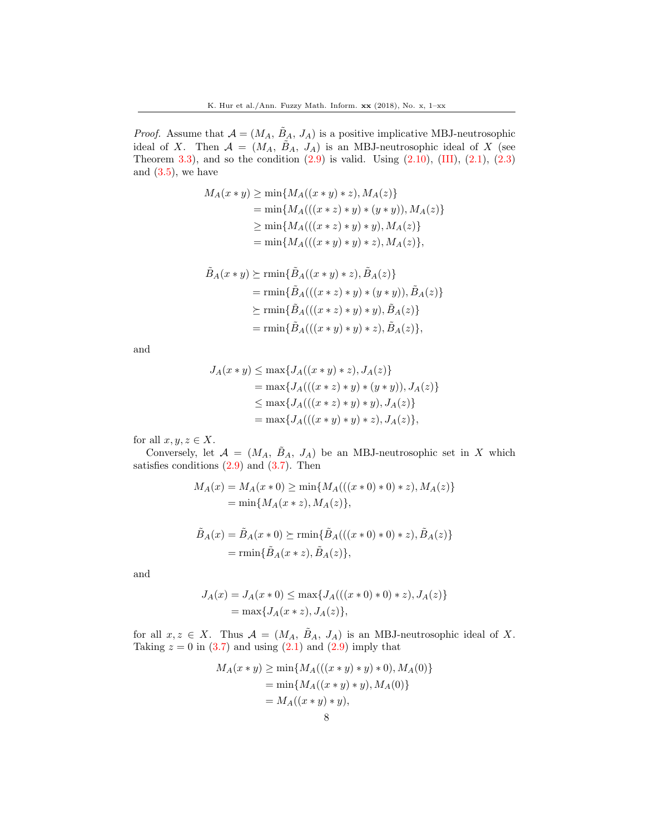*Proof.* Assume that  $A = (M_A, \tilde{B}_A, J_A)$  is a positive implicative MBJ-neutrosophic ideal of X. Then  $A = (M_A, \tilde{B}_A, J_A)$  is an MBJ-neutrosophic ideal of X (see Theorem [3.3\)](#page-4-0), and so the condition  $(2.9)$  is valid. Using  $(2.10)$ ,  $(III)$ ,  $(2.1)$ ,  $(2.3)$ and  $(3.5)$ , we have

$$
M_A(x * y) \ge \min\{M_A((x * y) * z), M_A(z)\}
$$
  
=  $\min\{M_A(((x * z) * y) * (y * y)), M_A(z)\}\$   
 $\ge \min\{M_A(((x * z) * y) * y), M_A(z)\}\$   
=  $\min\{M_A(((x * y) * y) * z), M_A(z)\},$ 

$$
\tilde{B}_A(x * y) \succeq \min{\{\tilde{B}_A((x * y) * z), \tilde{B}_A(z)\}}
$$
\n
$$
= \min{\{\tilde{B}_A(((x * z) * y) * (y * y)), \tilde{B}_A(z)\}}
$$
\n
$$
\succeq \min{\{\tilde{B}_A(((x * z) * y) * y), \tilde{B}_A(z)\}}
$$
\n
$$
= \min{\{\tilde{B}_A(((x * y) * y) * z), \tilde{B}_A(z)\}},
$$

and

$$
J_A(x * y) \le \max\{J_A((x * y) * z), J_A(z)\}
$$
  
=  $\max\{J_A(((x * z) * y) * (y * y)), J_A(z)\}\$   
 $\le \max\{J_A(((x * z) * y) * y), J_A(z)\}\$   
=  $\max\{J_A(((x * y) * y) * z), J_A(z)\},$ 

for all  $x, y, z \in X$ .

Conversely, let  $\mathcal{A} = (M_A, \tilde{B}_A, J_A)$  be an MBJ-neutrosophic set in X which satisfies conditions  $(2.9)$  and  $(3.7)$ . Then

$$
M_A(x) = M_A(x * 0) \ge \min\{M_A(((x * 0) * 0) * z), M_A(z)\}
$$
  
=  $\min\{M_A(x * z), M_A(z)\},$ 

$$
\tilde{B}_A(x) = \tilde{B}_A(x * 0) \succeq \min{\{\tilde{B}_A(((x * 0) * 0) * z), \tilde{B}_A(z)\}\}
$$
\n
$$
= \min{\{\tilde{B}_A(x * z), \tilde{B}_A(z)\}},
$$

and

$$
J_A(x) = J_A(x * 0) \le \max\{J_A(((x * 0) * 0) * z), J_A(z)\}\
$$
  
= max{ $J_A(x * z), J_A(z)$ },

for all  $x, z \in X$ . Thus  $\mathcal{A} = (M_A, \tilde{B}_A, J_A)$  is an MBJ-neutrosophic ideal of X. Taking  $z = 0$  in  $(3.7)$  and using  $(2.1)$  and  $(2.9)$  imply that

$$
M_A(x * y) \ge \min\{M_A(((x * y) * y) * 0), M_A(0)\}
$$
  
=  $\min\{M_A((x * y) * y), M_A(0)\}$   
=  $M_A((x * y) * y),$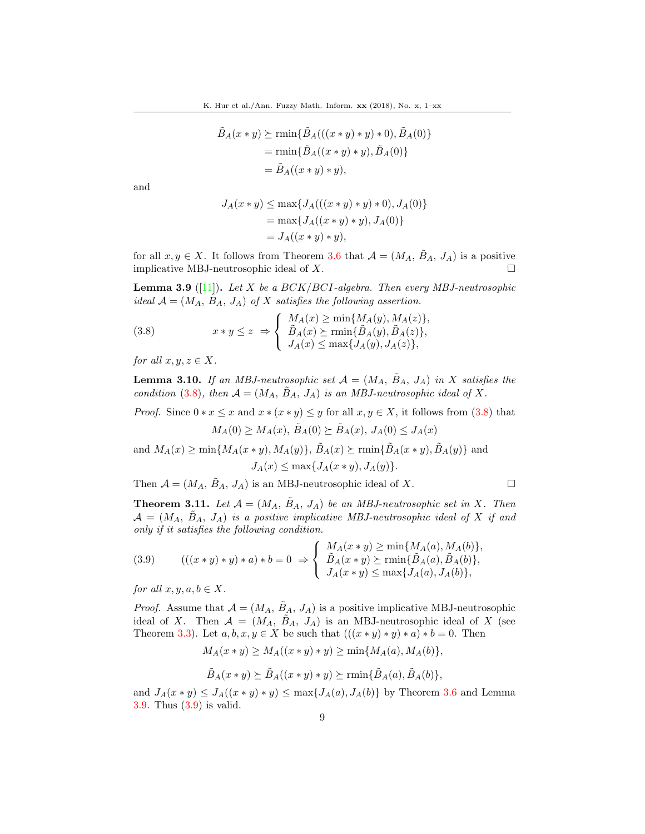$$
\tilde{B}_A(x * y) \succeq \min{\{\tilde{B}_A(((x * y) * y) * 0), \tilde{B}_A(0)\}\}
$$
\n
$$
= \min{\{\tilde{B}_A((x * y) * y), \tilde{B}_A(0)\}\}
$$
\n
$$
= \tilde{B}_A((x * y) * y),
$$

and

$$
J_A(x * y) \le \max\{J_A(((x * y) * y) * 0), J_A(0)\}\
$$
  
= max{ $J_A((x * y) * y), J_A(0)$ }  
=  $J_A((x * y) * y),$ 

for all  $x, y \in X$ . It follows from Theorem [3.6](#page-5-2) that  $\mathcal{A} = (M_A, \tilde{B}_A, J_A)$  is a positive implicative MBJ-neutrosophic ideal of X.  $\Box$ 

<span id="page-8-1"></span>**Lemma 3.9** ([\[11\]](#page-12-16)). Let X be a BCK/BCI-algebra. Then every MBJ-neutrosophic ideal  $\mathcal{A} = (M_A, B_A, J_A)$  of X satisfies the following assertion.

<span id="page-8-0"></span>(3.8) 
$$
x * y \le z \Rightarrow \begin{cases} M_A(x) \ge \min\{M_A(y), M_A(z)\}, \\ \tilde{B}_A(x) \ge \min\{\tilde{B}_A(y), \tilde{B}_A(z)\}, \\ J_A(x) \le \max\{J_A(y), J_A(z)\}, \end{cases}
$$

for all  $x, y, z \in X$ .

<span id="page-8-3"></span>**Lemma 3.10.** If an MBJ-neutrosophic set  $\mathcal{A} = (M_A, B_A, J_A)$  in X satisfies the condition [\(3.8\)](#page-8-0), then  $\mathcal{A} = (M_A, \tilde{B}_A, J_A)$  is an MBJ-neutrosophic ideal of X.

*Proof.* Since  $0 * x \leq x$  and  $x * (x * y) \leq y$  for all  $x, y \in X$ , it follows from [\(3.8\)](#page-8-0) that

$$
M_A(0) \ge M_A(x), \tilde{B}_A(0) \succeq \tilde{B}_A(x), J_A(0) \le J_A(x)
$$

and  $M_A(x) \ge \min\{M_A(x*y), M_A(y)\}, \tilde{B}_A(x) \ge \min\{\tilde{B}_A(x*y), \tilde{B}_A(y)\}\$ and  $J_A(x) \leq \max\{J_A(x*y), J_A(y)\}.$ 

Then  $A = (M_A, \tilde{B}_A, J_A)$  is an MBJ-neutrosophic ideal of X.

<span id="page-8-4"></span>**Theorem 3.11.** Let  $\mathcal{A} = (M_A, \tilde{B}_A, J_A)$  be an MBJ-neutrosophic set in X. Then  $\mathcal{A} = (M_A, \tilde{B}_A, J_A)$  is a positive implicative MBJ-neutrosophic ideal of X if and only if it satisfies the following condition.

<span id="page-8-2"></span>(3.9) 
$$
(((x * y) * y) * a) * b = 0 \Rightarrow \begin{cases} M_A(x * y) \ge \min\{M_A(a), M_A(b)\}, \\ \tilde{B}_A(x * y) \ge \min\{\tilde{B}_A(a), \tilde{B}_A(b)\}, \\ J_A(x * y) \le \max\{J_A(a), J_A(b)\}, \end{cases}
$$

for all  $x, y, a, b \in X$ .

*Proof.* Assume that  $A = (M_A, B_A, J_A)$  is a positive implicative MBJ-neutrosophic ideal of X. Then  $A = (M_A, \tilde{B}_A, J_A)$  is an MBJ-neutrosophic ideal of X (see Theorem [3.3\)](#page-4-0). Let  $a, b, x, y \in X$  be such that  $(((x * y) * y) * a) * b = 0$ . Then

$$
M_A(x * y) \ge M_A((x * y) * y) \ge \min\{M_A(a), M_A(b)\},\
$$

$$
\tilde{B}_A(x * y) \succeq \tilde{B}_A((x * y) * y) \succeq \min\{\tilde{B}_A(a), \tilde{B}_A(b)\},\
$$

and  $J_A(x * y) \leq J_A((x * y) * y) \leq \max\{J_A(a), J_A(b)\}\$  by Theorem [3.6](#page-5-2) and Lemma [3.9.](#page-8-1) Thus [\(3.9\)](#page-8-2) is valid.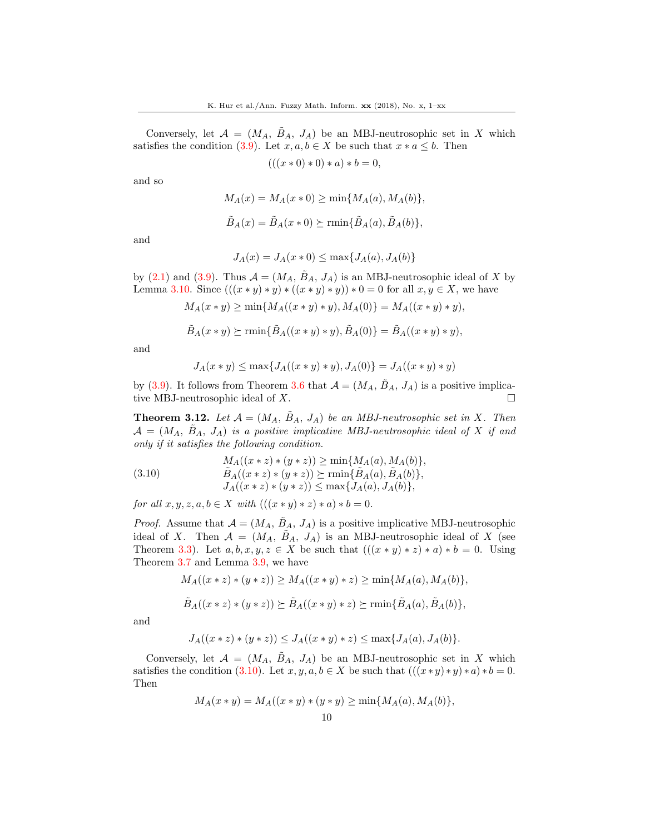Conversely, let  $\mathcal{A} = (M_A, \tilde{B}_A, J_A)$  be an MBJ-neutrosophic set in X which satisfies the condition [\(3.9\)](#page-8-2). Let  $x, a, b \in X$  be such that  $x * a \leq b$ . Then

 $(((x * 0) * 0) * a) * b = 0,$ 

and so

$$
M_A(x) = M_A(x * 0) \ge \min\{M_A(a), M_A(b)\},
$$
  

$$
\tilde{B}_A(x) = \tilde{B}_A(x * 0) \ge \min\{\tilde{B}_A(a), \tilde{B}_A(b)\},
$$

and

$$
J_A(x) = J_A(x * 0) \le \max\{J_A(a), J_A(b)\}
$$

by [\(2.1\)](#page-1-1) and [\(3.9\)](#page-8-2). Thus  $A = (M_A, B_A, J_A)$  is an MBJ-neutrosophic ideal of X by Lemma [3.10.](#page-8-3) Since  $(((x * y) * y) * ((x * y) * y)) * 0 = 0$  for all  $x, y \in X$ , we have

$$
M_A(x * y) \ge \min\{M_A((x * y) * y), M_A(0)\} = M_A((x * y) * y),
$$

$$
\tilde{B}_A(x*y) \succeq \min\{\tilde{B}_A((x*y)*y), \tilde{B}_A(0)\} = \tilde{B}_A((x*y)*y),
$$

and

$$
J_A(x * y) \le \max\{J_A((x * y) * y), J_A(0)\} = J_A((x * y) * y)
$$

by [\(3.9\)](#page-8-2). It follows from Theorem [3.6](#page-5-2) that  $\mathcal{A} = (M_A, \tilde{B}_A, J_A)$  is a positive implicative MBJ-neutrosophic ideal of  $X$ .

<span id="page-9-1"></span>**Theorem 3.12.** Let  $\mathcal{A} = (M_A, \tilde{B}_A, J_A)$  be an MBJ-neutrosophic set in X. Then  $\mathcal{A} = (M_A, B_A, J_A)$  is a positive implicative MBJ-neutrosophic ideal of X if and only if it satisfies the following condition.

<span id="page-9-0"></span>(3.10) 
$$
M_A((x * z) * (y * z)) \ge \min\{M_A(a), M_A(b)\},
$$

$$
\tilde{B}_A((x * z) * (y * z)) \ge \min\{\tilde{B}_A(a), \tilde{B}_A(b)\},
$$

$$
J_A((x * z) * (y * z)) \le \max\{J_A(a), J_A(b)\},
$$

for all  $x, y, z, a, b \in X$  with  $(((x * y) * z) * a) * b = 0$ .

*Proof.* Assume that  $\mathcal{A} = (M_A, \tilde{B}_A, J_A)$  is a positive implicative MBJ-neutrosophic ideal of X. Then  $A = (M_A, B_A, J_A)$  is an MBJ-neutrosophic ideal of X (see Theorem [3.3\)](#page-4-0). Let  $a, b, x, y, z \in X$  be such that  $(((x * y) * z) * a) * b = 0$ . Using Theorem [3.7](#page-6-3) and Lemma [3.9,](#page-8-1) we have

$$
M_A((x * z) * (y * z)) \ge M_A((x * y) * z) \ge \min\{M_A(a), M_A(b)\},
$$
  

$$
\tilde{B}_A((x * z) * (y * z)) \succeq \tilde{B}_A((x * y) * z) \succeq \min\{\tilde{B}_A(a), \tilde{B}_A(b)\},
$$

and

$$
J_A((x * z) * (y * z)) \leq J_A((x * y) * z) \leq \max\{J_A(a), J_A(b)\}.
$$

Conversely, let  $\mathcal{A} = (M_A, \tilde{B}_A, J_A)$  be an MBJ-neutrosophic set in X which satisfies the condition [\(3.10\)](#page-9-0). Let  $x, y, a, b \in X$  be such that  $(((x * y) * y) * a) * b = 0$ . Then

$$
M_A(x * y) = M_A((x * y) * (y * y) \ge \min\{M_A(a), M_A(b)\},\
$$
10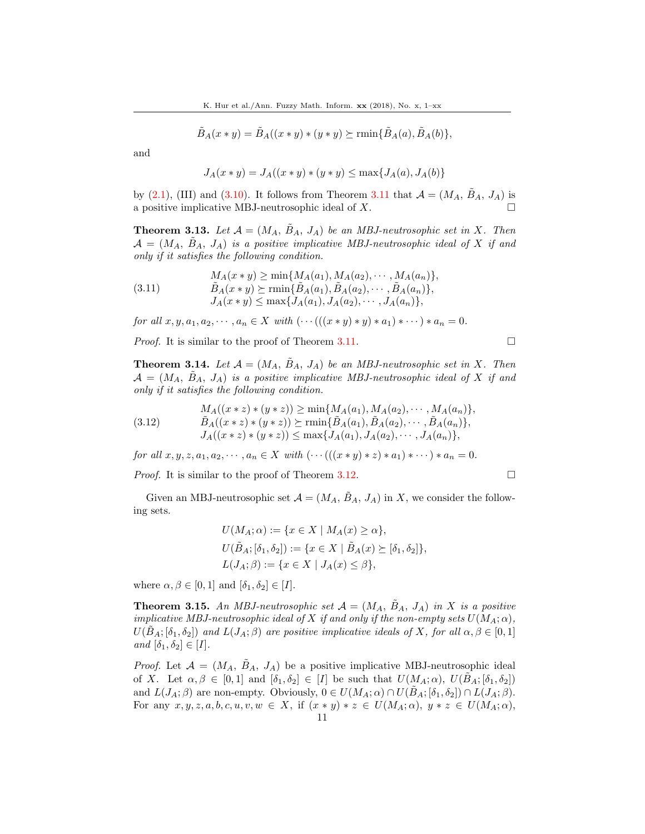$$
\tilde{B}_A(x * y) = \tilde{B}_A((x * y) * (y * y) \succeq \min\{\tilde{B}_A(a), \tilde{B}_A(b)\},\
$$

and

$$
J_A(x * y) = J_A((x * y) * (y * y) \le \max\{J_A(a), J_A(b)\}\
$$

by  $(2.1)$ , (III) and  $(3.10)$ . It follows from Theorem [3.11](#page-8-4) that  $\mathcal{A} = (M_A, B_A, J_A)$  is a positive implicative MBJ-neutrosophic ideal of  $X$ .

**Theorem 3.13.** Let  $\mathcal{A} = (M_A, B_A, J_A)$  be an MBJ-neutrosophic set in X. Then  $\mathcal{A} = (M_A, B_A, J_A)$  is a positive implicative MBJ-neutrosophic ideal of X if and only if it satisfies the following condition.

(3.11) 
$$
M_A(x * y) \ge \min\{M_A(a_1), M_A(a_2), \cdots, M_A(a_n)\},
$$

$$
\tilde{B}_A(x * y) \ge \min\{\tilde{B}_A(a_1), \tilde{B}_A(a_2), \cdots, \tilde{B}_A(a_n)\},
$$

$$
J_A(x * y) \le \max\{J_A(a_1), J_A(a_2), \cdots, J_A(a_n)\},
$$

for all  $x, y, a_1, a_2, \dots, a_n \in X$  with  $(\dots((x * y) * y) * a_1) * \dots) * a_n = 0$ .

*Proof.* It is similar to the proof of Theorem [3.11.](#page-8-4)

**Theorem 3.14.** Let  $\mathcal{A} = (M_A, \tilde{B}_A, J_A)$  be an MBJ-neutrosophic set in X. Then  $A = (M_A, B_A, J_A)$  is a positive implicative MBJ-neutrosophic ideal of X if and only if it satisfies the following condition.

(3.12) 
$$
M_A((x * z) * (y * z)) \ge \min\{M_A(a_1), M_A(a_2), \cdots, M_A(a_n)\},
$$

$$
\tilde{B}_A((x * z) * (y * z)) \ge \min\{\tilde{B}_A(a_1), \tilde{B}_A(a_2), \cdots, \tilde{B}_A(a_n)\},
$$

$$
J_A((x * z) * (y * z)) \le \max\{J_A(a_1), J_A(a_2), \cdots, J_A(a_n)\},
$$

for all  $x, y, z, a_1, a_2, \cdots, a_n \in X$  with  $(\cdots(((x * y) * z) * a_1) * \cdots) * a_n = 0$ .

*Proof.* It is similar to the proof of Theorem [3.12.](#page-9-1)

Given an MBJ-neutrosophic set  $\mathcal{A} = (M_A, \tilde{B}_A, J_A)$  in X, we consider the following sets.

$$
U(M_A; \alpha) := \{ x \in X \mid M_A(x) \ge \alpha \},
$$
  
\n
$$
U(\tilde{B}_A; [\delta_1, \delta_2]) := \{ x \in X \mid \tilde{B}_A(x) \succeq [\delta_1, \delta_2] \},
$$
  
\n
$$
L(J_A; \beta) := \{ x \in X \mid J_A(x) \le \beta \},
$$

where  $\alpha, \beta \in [0, 1]$  and  $[\delta_1, \delta_2] \in [I]$ .

**Theorem 3.15.** An MBJ-neutrosophic set  $A = (M_A, B_A, J_A)$  in X is a positive implicative MBJ-neutrosophic ideal of X if and only if the non-empty sets  $U(M_A; \alpha)$ ,  $U(B_A; [\delta_1, \delta_2])$  and  $L(J_A; \beta)$  are positive implicative ideals of X, for all  $\alpha, \beta \in [0,1]$ and  $[\delta_1, \delta_2] \in [I].$ 

*Proof.* Let  $\mathcal{A} = (M_A, \tilde{B}_A, J_A)$  be a positive implicative MBJ-neutrosophic ideal of X. Let  $\alpha, \beta \in [0,1]$  and  $[\delta_1, \delta_2] \in [I]$  be such that  $U(M_A; \alpha)$ ,  $U(\tilde{B}_A; [\delta_1, \delta_2])$ and  $L(J_A;\beta)$  are non-empty. Obviously,  $0 \in U(M_A;\alpha) \cap U(B_A;[\delta_1,\delta_2]) \cap L(J_A;\beta)$ . For any  $x, y, z, a, b, c, u, v, w \in X$ , if  $(x * y) * z \in U(M_A; \alpha)$ ,  $y * z \in U(M_A; \alpha)$ ,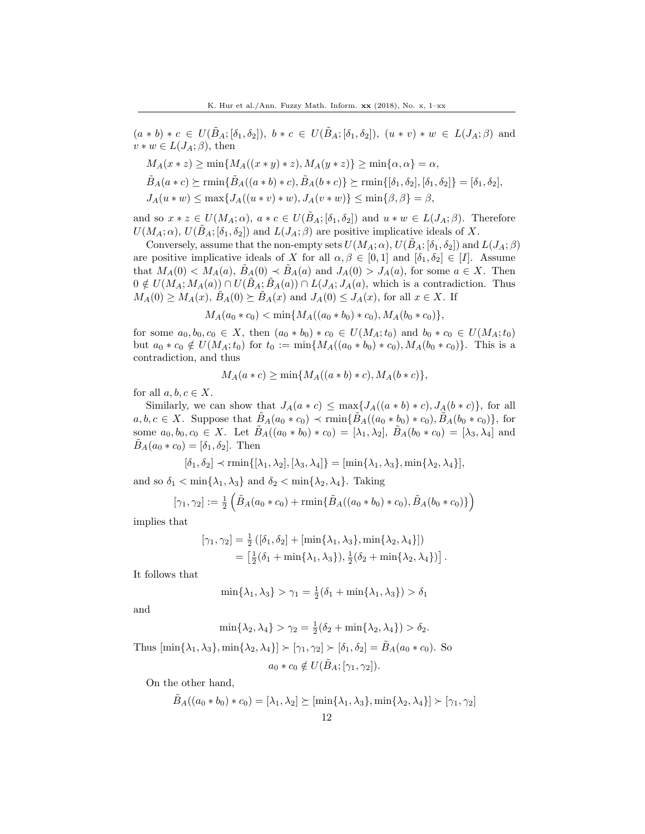$(a * b) * c \in U(\tilde{B}_A; [\delta_1, \delta_2]), b * c \in U(\tilde{B}_A; [\delta_1, \delta_2]), (u * v) * w \in L(J_A; \beta)$  and  $v * w \in L(J_A; \beta)$ , then

$$
M_A(x * z) \ge \min\{M_A((x * y) * z), M_A(y * z)\} \ge \min\{\alpha, \alpha\} = \alpha,
$$
  
\n
$$
\tilde{B}_A(a * c) \ge \min\{\tilde{B}_A((a * b) * c), \tilde{B}_A(b * c)\} \ge \min\{\delta_1, \delta_2\}, \delta_1, \delta_2\} = [\delta_1, \delta_2],
$$
  
\n
$$
J_A(u * w) \le \max\{J_A((u * v) * w), J_A(v * w)\} \le \min\{\beta, \beta\} = \beta,
$$

and so  $x * z \in U(M_A; \alpha)$ ,  $a * c \in U(B_A; [\delta_1, \delta_2])$  and  $u * w \in L(J_A; \beta)$ . Therefore  $U(M_A; \alpha)$ ,  $U(\tilde{B}_A; [\delta_1, \delta_2])$  and  $L(J_A; \beta)$  are positive implicative ideals of X.

Conversely, assume that the non-empty sets  $U(M_A; \alpha)$ ,  $U(B_A; [\delta_1, \delta_2])$  and  $L(J_A; \beta)$ are positive implicative ideals of X for all  $\alpha, \beta \in [0,1]$  and  $[\delta_1, \delta_2] \in [I]$ . Assume that  $M_A(0) < M_A(a), B_A(0) < B_A(a)$  and  $J_A(0) > J_A(a)$ , for some  $a \in X$ . Then  $0 \notin U(M_A; M_A(a)) \cap U(\tilde{B}_A; \tilde{B}_A(a)) \cap L(J_A; J_A(a),$  which is a contradiction. Thus  $M_A(0) \geq M_A(x)$ ,  $B_A(0) \succeq B_A(x)$  and  $J_A(0) \leq J_A(x)$ , for all  $x \in X$ . If

$$
M_A(a_0 * c_0) < \min\{M_A((a_0 * b_0) * c_0), M_A(b_0 * c_0)\},\
$$

for some  $a_0, b_0, c_0 \in X$ , then  $(a_0 * b_0) * c_0 \in U(M_A; t_0)$  and  $b_0 * c_0 \in U(M_A; t_0)$ but  $a_0 * c_0 \notin U(M_A;t_0)$  for  $t_0 := \min\{M_A((a_0 * b_0) * c_0), M_A(b_0 * c_0)\}.$  This is a contradiction, and thus

$$
M_A(a*c) \ge \min\{M_A((a*b)*c), M_A(b*c)\},\
$$

for all  $a, b, c \in X$ .

Similarly, we can show that  $J_A(a*c) \leq \max\{J_A((a*b)*c), J_A(b*c)\}\)$ , for all  $a, b, c \in X$ . Suppose that  $\tilde{B}_A(a_0 * c_0) \prec \min\{\tilde{B}_A((a_0 * b_0) * c_0), \tilde{B}_A(b_0 * c_0)\}\)$ , for some  $a_0, b_0, c_0 \in X$ . Let  $\tilde{B}_A((a_0 * b_0) * c_0) = [\lambda_1, \lambda_2], \tilde{B}_A(b_0 * c_0) = [\lambda_3, \lambda_4]$  and  $\tilde{B}_A(a_0 * c_0) = [\delta_1, \delta_2].$  Then

$$
[\delta_1, \delta_2] \prec \min\{[\lambda_1, \lambda_2], [\lambda_3, \lambda_4]\} = [\min\{\lambda_1, \lambda_3\}, \min\{\lambda_2, \lambda_4\}],
$$

and so  $\delta_1 < \min\{\lambda_1, \lambda_3\}$  and  $\delta_2 < \min\{\lambda_2, \lambda_4\}$ . Taking

$$
[\gamma_1, \gamma_2] := \frac{1}{2} \left( \tilde{B}_A(a_0 * c_0) + \min \{ \tilde{B}_A((a_0 * b_0) * c_0), \tilde{B}_A(b_0 * c_0) \} \right)
$$

implies that

$$
[\gamma_1, \gamma_2] = \frac{1}{2} ([\delta_1, \delta_2] + [\min{\lambda_1, \lambda_3}, \min{\lambda_2, \lambda_4}])
$$
  
= 
$$
[\frac{1}{2}(\delta_1 + \min{\lambda_1, \lambda_3}), \frac{1}{2}(\delta_2 + \min{\lambda_2, \lambda_4})].
$$

It follows that

$$
\min\{\lambda_1, \lambda_3\} > \gamma_1 = \frac{1}{2}(\delta_1 + \min\{\lambda_1, \lambda_3\}) > \delta_1
$$

and

$$
\min{\{\lambda_2, \lambda_4\}} > \gamma_2 = \frac{1}{2}(\delta_2 + \min{\{\lambda_2, \lambda_4\}}) > \delta_2.
$$

Thus  $[\min\{\lambda_1, \lambda_3\}, \min\{\lambda_2, \lambda_4\}] \succ [\gamma_1, \gamma_2] \succ [\delta_1, \delta_2] = \tilde{B}_A(a_0 * c_0)$ . So  $a_0 * c_0 \notin U(\tilde{B}_A; [\gamma_1, \gamma_2]).$ 

On the other hand,

$$
\tilde{B}_{A}((a_0 * b_0) * c_0) = [\lambda_1, \lambda_2] \succeq [\min{\lambda_1, \lambda_3}, \min{\lambda_2, \lambda_4}] \succ [\gamma_1, \gamma_2]
$$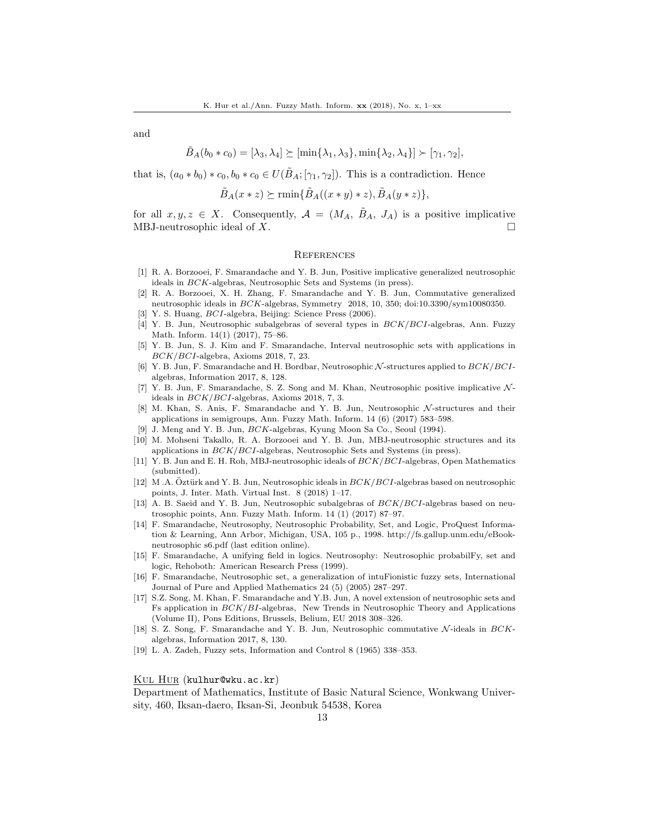and

$$
\tilde{B}_A(b_0 * c_0) = [\lambda_3, \lambda_4] \succeq [\min{\lambda_1, \lambda_3}, \min{\lambda_2, \lambda_4}] \succ [\gamma_1, \gamma_2],
$$

that is,  $(a_0 * b_0) * c_0$ ,  $b_0 * c_0 \in U(\tilde{B}_A; [\gamma_1, \gamma_2])$ . This is a contradiction. Hence

$$
\tilde{B}_A(x * z) \succeq \min{\{\tilde{B}_A((x * y) * z), \tilde{B}_A(y * z)\}},
$$

for all  $x, y, z \in X$ . Consequently,  $\mathcal{A} = (M_A, \tilde{B}_A, J_A)$  is a positive implicative MBJ-neutrosophic ideal of X.

#### **REFERENCES**

- <span id="page-12-4"></span>[1] R. A. Borzooei, F. Smarandache and Y. B. Jun, Positive implicative generalized neutrosophic ideals in BCK-algebras, Neutrosophic Sets and Systems (in press).
- <span id="page-12-5"></span>[2] R. A. Borzooei, X. H. Zhang, F. Smarandache and Y. B. Jun, Commutative generalized neutrosophic ideals in BCK-algebras, Symmetry 2018, 10, 350; doi:10.3390/sym10080350.
- <span id="page-12-18"></span>[3] Y. S. Huang, BCI-algebra, Beijing: Science Press (2006).
- <span id="page-12-6"></span>[4] Y. B. Jun, Neutrosophic subalgebras of several types in BCK/BCI-algebras, Ann. Fuzzy Math. Inform. 14(1) (2017), 75–86.
- <span id="page-12-7"></span>[5] Y. B. Jun, S. J. Kim and F. Smarandache, Interval neutrosophic sets with applications in BCK/BCI-algebra, Axioms 2018, 7, 23.
- <span id="page-12-8"></span>[6] Y. B. Jun, F. Smarandache and H. Bordbar, Neutrosophic N -structures applied to BCK/BCIalgebras, Information 2017, 8, 128.
- <span id="page-12-9"></span>[7] Y. B. Jun, F. Smarandache, S. Z. Song and M. Khan, Neutrosophic positive implicative  $\mathcal{N}$ ideals in BCK/BCI-algebras, Axioms 2018, 7, 3.
- <span id="page-12-10"></span>[8] M. Khan, S. Anis, F. Smarandache and Y. B. Jun, Neutrosophic N -structures and their applications in semigroups, Ann. Fuzzy Math. Inform. 14 (6) (2017) 583–598.
- <span id="page-12-17"></span>[9] J. Meng and Y. B. Jun, BCK-algebras, Kyung Moon Sa Co., Seoul (1994).
- <span id="page-12-15"></span>[10] M. Mohseni Takallo, R. A. Borzooei and Y. B. Jun, MBJ-neutrosophic structures and its applications in BCK/BCI-algebras, Neutrosophic Sets and Systems (in press).
- <span id="page-12-16"></span>[11] Y. B. Jun and E. H. Roh, MBJ-neutrosophic ideals of BCK/BCI-algebras, Open Mathematics (submitted).
- <span id="page-12-11"></span>[12] M .A. Oztürk and Y. B. Jun, Neutrosophic ideals in  $BCK/BCI$ -algebras based on neutrosophic points, J. Inter. Math. Virtual Inst. 8 (2018) 1–17.
- <span id="page-12-12"></span>[13] A. B. Saeid and Y. B. Jun, Neutrosophic subalgebras of  $BCK/BCI$ -algebras based on neutrosophic points, Ann. Fuzzy Math. Inform. 14 (1) (2017) 87–97.
- <span id="page-12-1"></span>[14] F. Smarandache, Neutrosophy, Neutrosophic Probability, Set, and Logic, ProQuest Information & Learning, Ann Arbor, Michigan, USA, 105 p., 1998. http://fs.gallup.unm.edu/eBookneutrosophic s6.pdf (last edition online).
- <span id="page-12-2"></span>[15] F. Smarandache, A unifying field in logics. Neutrosophy: Neutrosophic probabilFy, set and logic, Rehoboth: American Research Press (1999).
- <span id="page-12-3"></span>[16] F. Smarandache, Neutrosophic set, a generalization of intuFionistic fuzzy sets, International Journal of Pure and Applied Mathematics 24 (5) (2005) 287–297.
- <span id="page-12-13"></span>[17] S.Z. Song, M. Khan, F. Smarandache and Y.B. Jun, A novel extension of neutrosophic sets and Fs application in BCK/BI-algebras, New Trends in Neutrosophic Theory and Applications (Volume II), Pons Editions, Brussels, Belium, EU 2018 308–326.
- <span id="page-12-14"></span>[18] S. Z. Song, F. Smarandache and Y. B. Jun, Neutrosophic commutative N -ideals in BCKalgebras, Information 2017, 8, 130.
- <span id="page-12-0"></span>[19] L. A. Zadeh, Fuzzy sets, Information and Control 8 (1965) 338–353.

Kul Hur (kulhur@wku.ac.kr)

Department of Mathematics, Institute of Basic Natural Science, Wonkwang University, 460, Iksan-daero, Iksan-Si, Jeonbuk 54538, Korea